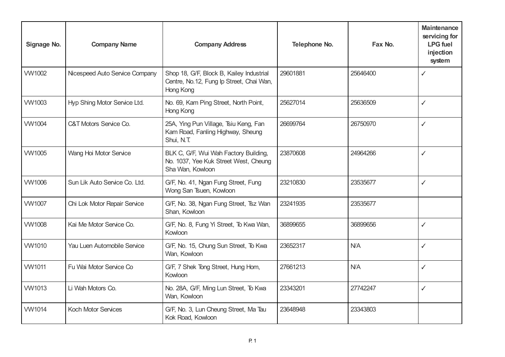| Signage No.   | <b>Company Name</b>            | <b>Company Address</b>                                                                             | Telephone No. | Fax No.  | <b>Maintenance</b><br>servicing for<br><b>LPG</b> fuel<br>injection<br>system |
|---------------|--------------------------------|----------------------------------------------------------------------------------------------------|---------------|----------|-------------------------------------------------------------------------------|
| <b>VW1002</b> | Nicespeed Auto Service Company | Shop 18, G/F, Block B, Kailey Industrial<br>Centre, No.12, Fung Ip Street, Chai Wan,<br>Hong Kong  | 29601881      | 25646400 | $\checkmark$                                                                  |
| <b>VW1003</b> | Hyp Shing Motor Service Ltd.   | No. 69, Kam Ping Street, North Point,<br>Hong Kong                                                 | 25627014      | 25636509 | $\checkmark$                                                                  |
| <b>VW1004</b> | C&T Motors Service Co.         | 25A, Ying Pun Village, Tsiu Keng, Fan<br>Kam Road, Fanling Highway, Sheung<br>Shui, N.T.           | 26699764      | 26750970 | ✓                                                                             |
| <b>VW1005</b> | Wang Hoi Motor Service         | BLK C, G/F, Wui Wah Factory Building,<br>No. 1037, Yee Kuk Street West, Cheung<br>Sha Wan, Kowloon | 23870608      | 24964266 | $\checkmark$                                                                  |
| <b>VW1006</b> | Sun Lik Auto Service Co. Ltd.  | G/F, No. 41, Ngan Fung Street, Fung<br>Wong San Tsuen, Kowloon                                     | 23210830      | 23535677 | $\checkmark$                                                                  |
| <b>VW1007</b> | Chi Lok Motor Repair Service   | G/F, No. 38, Ngan Fung Street, Tsz Wan<br>Shan, Kowloon                                            | 23241935      | 23535677 |                                                                               |
| <b>VW1008</b> | Kai Me Motor Service Co.       | G/F, No. 8, Fung Yi Street, To Kwa Wan,<br>Kowloon                                                 | 36899655      | 36899656 | $\checkmark$                                                                  |
| VW1010        | Yau Luen Automobile Service    | G/F, No. 15, Chung Sun Street, To Kwa<br>Wan, Kowloon                                              | 23652317      | N/A      | $\checkmark$                                                                  |
| <b>VW1011</b> | Fu Wai Motor Service Co        | G/F, 7 Shek Tong Street, Hung Hom,<br>Kowloon                                                      | 27661213      | N/A      | ✓                                                                             |
| <b>VW1013</b> | Li Wah Motors Co.              | No. 28A, G/F, Ming Lun Street, To Kwa<br>Wan, Kowloon                                              | 23343201      | 27742247 | $\checkmark$                                                                  |
| VW1014        | <b>Koch Motor Services</b>     | G/F, No. 3, Lun Cheung Street, Ma Tau<br>Kok Road, Kowloon                                         | 23648948      | 23343803 |                                                                               |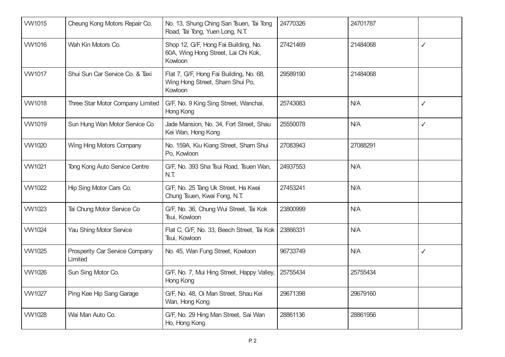| <b>VW1015</b> | Cheung Kong Motors Repair Co.             | No. 13, Shung Ching San Tsuen, Tai Tong<br>Road, Tai Tong, Yuen Long, N.T.             | 24770326 | 24701787   |              |
|---------------|-------------------------------------------|----------------------------------------------------------------------------------------|----------|------------|--------------|
| <b>VW1016</b> | Wah Kin Motors Co.                        | Shop 12, G/F, Hong Fai Building, No.<br>60A, Wing Hong Street, Lai Chi Kok,<br>Kowloon | 27421469 | 21484068   | $\checkmark$ |
| <b>VW1017</b> | Shui Sun Car Service Co. & Taxi           | Flat 7, G/F, Hong Fai Building, No. 68,<br>Wing Hong Street, Sham Shui Po,<br>Kowloon  | 29589190 | 21484068   |              |
| <b>VW1018</b> | Three Star Motor Company Limited          | G/F, No. 9 King Sing Street, Wanchai,<br>Hong Kong                                     | 25743083 | <b>N/A</b> | $\checkmark$ |
| <b>VW1019</b> | Sun Hung Wan Motor Service Co             | Jade Mansion, No. 34, Fort Street, Shau<br>Kei Wan, Hong Kong                          | 25550078 | N/A        | $\checkmark$ |
| <b>VW1020</b> | Wing Hing Motors Company                  | No. 159A, Kiu Kiang Street, Sham Shui<br>Po, Kowloon                                   | 27083943 | 27088291   |              |
| <b>VW1021</b> | Tong Kong Auto Service Centre             | G/F, No. 393 Sha Tsui Road, Tsuen Wan,<br>N.T                                          | 24937553 | <b>N/A</b> |              |
| <b>VW1022</b> | Hip Sing Motor Cars Co.                   | G/F, No. 25 Tang Uk Street, Ha Kwai<br>Chung Tsuen, Kwai Fong, N.T.                    | 27453241 | N/A        |              |
| <b>VW1023</b> | Tai Chung Motor Service Co                | G/F, No. 36, Chung Wui Street, Tai Kok<br>Tsui, Kowloon                                | 23800999 | N/A        |              |
| <b>VW1024</b> | Yau Shing Motor Service                   | Flat C, G/F, No. 33, Beech Street, Tai Kok<br>Tsui, Kowloon                            | 23866331 | <b>N/A</b> |              |
| <b>VW1025</b> | Prosperity Car Service Company<br>Limited | No. 45, Wan Fung Street, Kowloon                                                       | 96733749 | N/A        | $\checkmark$ |
| <b>VW1026</b> | Sun Sing Motor Co.                        | G/F, No. 7, Mui Hing Street, Happy Valley,<br>Hong Kong                                | 25755434 | 25755434   |              |
| <b>VW1027</b> | Ping Kee Hip Sang Garage                  | G/F, No. 48, Oi Man Street, Shau Kei<br>Wan, Hong Kong                                 | 29671398 | 29679160   |              |
| <b>VW1028</b> | Wai Man Auto Co.                          | G/F, No. 29 Hing Man Street, Sai Wan<br>Ho, Hong Kong                                  | 28861136 | 28861956   |              |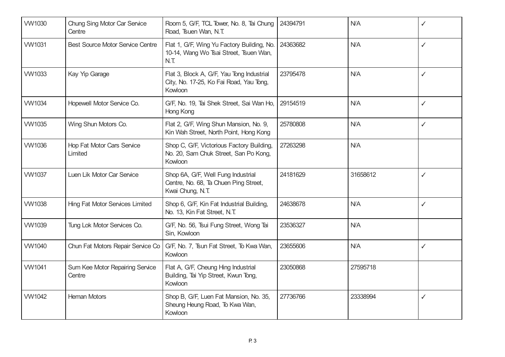| <b>VW1030</b> | Chung Sing Motor Car Service<br>Centre    | Room 5, G/F, TCL Tower, No. 8, Tai Chung<br>Road, Tsuen Wan, N.T.                               | 24394791 | N/A        | ✓            |
|---------------|-------------------------------------------|-------------------------------------------------------------------------------------------------|----------|------------|--------------|
| <b>VW1031</b> | <b>Best Source Motor Service Centre</b>   | Flat 1, G/F, Wing Yu Factory Building, No.<br>10-14, Wang Wo Tsai Street, Tsuen Wan,<br>N.T     | 24363682 | N/A        | $\checkmark$ |
| <b>VW1033</b> | Kay Yip Garage                            | Flat 3, Block A, G/F, Yau Tong Industrial<br>City, No. 17-25, Ko Fai Road, Yau Tong,<br>Kowloon | 23795478 | N/A        | $\checkmark$ |
| VW1034        | Hopewell Motor Service Co.                | G/F, No. 19, Tai Shek Street, Sai Wan Ho,<br>Hong Kong                                          | 29154519 | N/A        | $\checkmark$ |
| <b>VW1035</b> | Wing Shun Motors Co.                      | Flat 2, G/F, Wing Shun Mansion, No. 9,<br>Kin Wah Street, North Point, Hong Kong                | 25780808 | N/A        | $\checkmark$ |
| <b>VW1036</b> | Hop Fat Motor Cars Service<br>Limited     | Shop C, G/F, Victorious Factory Building,<br>No. 20, Sam Chuk Street, San Po Kong,<br>Kowloon   | 27263298 | <b>N/A</b> |              |
| <b>VW1037</b> | Luen Lik Motor Car Service                | Shop 6A, G/F, Well Fung Industrial<br>Centre, No. 68, Ta Chuen Ping Street,<br>Kwai Chung, N.T. | 24181629 | 31658612   | $\checkmark$ |
| <b>VW1038</b> | <b>Hing Fat Motor Services Limited</b>    | Shop 6, G/F, Kin Fat Industrial Building,<br>No. 13, Kin Fat Street, N.T.                       | 24638678 | N/A        | $\checkmark$ |
| <b>VW1039</b> | Tung Lok Motor Services Co.               | G/F, No. 56, Tsui Fung Street, Wong Tai<br>Sin, Kowloon                                         | 23536327 | <b>N/A</b> |              |
| VW1040        | Chun Fat Motors Repair Service Co         | G/F, No. 7, Tsun Fat Street, To Kwa Wan,<br>Kowloon                                             | 23655606 | N/A        | $\checkmark$ |
| <b>VW1041</b> | Sum Kee Motor Repairing Service<br>Centre | Flat A, G/F, Cheung Hing Industrial<br>Building, Tai Yip Street, Kwun Tong,<br>Kowloon          | 23050868 | 27595718   |              |
| <b>VW1042</b> | <b>Heman Motors</b>                       | Shop B, G/F, Luen Fat Mansion, No. 35,<br>Sheung Heung Road, To Kwa Wan,<br>Kowloon             | 27736766 | 23338994   | ✓            |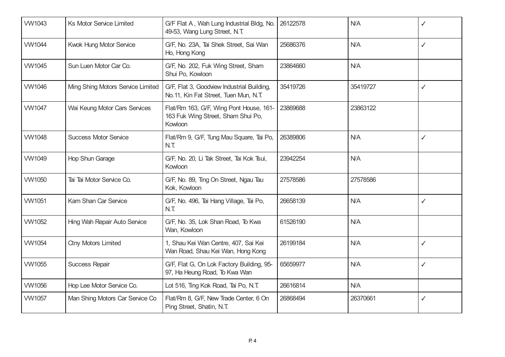| VW1043        | <b>Ks Motor Service Limited</b>   | G/F Flat A, Wah Lung Industrial Bldg, No.<br>49-53, Wang Lung Street, N.T.               | 26122578 | N/A        | ✓            |
|---------------|-----------------------------------|------------------------------------------------------------------------------------------|----------|------------|--------------|
| <b>VW1044</b> | Kwok Hung Motor Service           | G/F, No. 23A, Tai Shek Street, Sai Wan<br>Ho, Hong Kong                                  | 25686376 | <b>N/A</b> | $\checkmark$ |
| <b>VW1045</b> | Sun Luen Motor Car Co.            | G/F, No. 202, Fuk Wing Street, Sham<br>Shui Po, Kowloon                                  | 23864660 | N/A        |              |
| <b>VW1046</b> | Ming Shing Motors Service Limited | G/F, Flat 3, Goodview Industrial Building,<br>No.11, Kin Fat Street, Tuen Mun, N.T.      | 35419726 | 35419727   | $\checkmark$ |
| <b>VW1047</b> | Wai Keung Motor Cars Services     | Flat/Rm 163, G/F, Wing Pont House, 161-<br>163 Fuk Wing Street, Sham Shui Po,<br>Kowloon | 23869688 | 23863122   |              |
| <b>VW1048</b> | <b>Success Motor Service</b>      | Flat/Rm 9, G/F, Tung Mau Square, Tai Po,<br>N.T                                          | 26389806 | <b>N/A</b> | $\checkmark$ |
| VW1049        | Hop Shun Garage                   | G/F, No. 20, Li Tak Street, Tai Kok Tsui,<br>Kowloon                                     | 23942254 | N/A        |              |
| <b>VW1050</b> | Tai Tai Motor Service Co.         | G/F, No. 89, Ting On Street, Ngau Tau<br>Kok, Kowloon                                    | 27578586 | 27578586   |              |
| <b>VW1051</b> | Kam Shan Car Service              | G/F, No. 496, Tai Hang Village, Tai Po,<br>N.T                                           | 26658139 | <b>N/A</b> | $\checkmark$ |
| <b>VW1052</b> | Hing Wah Repair Auto Service      | G/F, No. 35, Lok Shan Road, To Kwa<br>Wan, Kowloon                                       | 61526190 | <b>N/A</b> |              |
| <b>VW1054</b> | <b>Ctny Motors Limited</b>        | 1, Shau Kei Wan Centre, 407, Sai Kei<br>Wan Road, Shau Kei Wan, Hong Kong                | 26199184 | <b>N/A</b> | $\checkmark$ |
| <b>VW1055</b> | <b>Success Repair</b>             | G/F, Flat G, On Lok Factory Building, 95-<br>97, Ha Heung Road, To Kwa Wan               | 65659977 | <b>N/A</b> | $\checkmark$ |
| <b>VW1056</b> | Hop Lee Motor Service Co.         | Lot 516, Ting Kok Road, Tai Po, N.T.                                                     | 26616814 | <b>N/A</b> |              |
| <b>VW1057</b> | Man Shing Motors Car Service Co   | Flat/Rm 8, G/F, New Trade Center, 6 On<br>Ping Street, Shatin, N.T.                      | 26868494 | 26370661   | $\checkmark$ |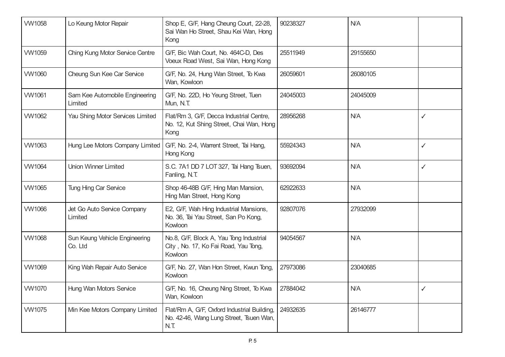| <b>VW1058</b> | Lo Keung Motor Repair                     | Shop E, G/F, Hang Cheung Court, 22-28,<br>Sai Wan Ho Street, Shau Kei Wan, Hong<br>Kong        | 90238327 | <b>N/A</b> |              |
|---------------|-------------------------------------------|------------------------------------------------------------------------------------------------|----------|------------|--------------|
| <b>VW1059</b> | Ching Kung Motor Service Centre           | G/F, Bic Wah Court, No. 464C-D, Des<br>Voeux Road West, Sai Wan, Hong Kong                     | 25511949 | 29155650   |              |
| <b>VW1060</b> | Cheung Sun Kee Car Service                | G/F, No. 24, Hung Wan Street, To Kwa<br>Wan, Kowloon                                           | 26059601 | 26080105   |              |
| <b>VW1061</b> | Sam Kee Automobile Engineering<br>Limited | G/F, No. 22D, Ho Yeung Street, Tuen<br>Mun, N.T.                                               | 24045003 | 24045009   |              |
| <b>VW1062</b> | Yau Shing Motor Services Limited          | Flat/Rm 3, G/F, Decca Industrial Centre,<br>No. 12, Kut Shing Street, Chai Wan, Hong<br>Kong   | 28956268 | N/A        | $\checkmark$ |
| <b>VW1063</b> | Hung Lee Motors Company Limited           | G/F, No. 2-4, Warrent Street, Tai Hang,<br>Hong Kong                                           | 55924343 | <b>N/A</b> | $\checkmark$ |
| <b>VW1064</b> | <b>Union Winner Limited</b>               | S.C. 7A1 DD 7 LOT 327, Tai Hang Tsuen,<br>Fanling, N.T.                                        | 93692094 | <b>N/A</b> | $\checkmark$ |
| <b>VW1065</b> | Tung Hing Car Service                     | Shop 46-48B G/F, Hing Man Mansion,<br>Hing Man Street, Hong Kong                               | 62922633 | N/A        |              |
| <b>VW1066</b> | Jet Go Auto Service Company<br>Limited    | E2, G/F, Wah Hing Industrial Mansions,<br>No. 36, Tai Yau Street, San Po Kong,<br>Kowloon      | 92807076 | 27932099   |              |
| <b>VW1068</b> | Sun Keung Vehicle Engineering<br>Co. Ltd  | No.8, G/F, Block A, Yau Tong Industrial<br>City, No. 17, Ko Fai Road, Yau Tong,<br>Kowloon     | 94054567 | <b>N/A</b> |              |
| <b>VW1069</b> | King Wah Repair Auto Service              | G/F, No. 27, Wan Hon Street, Kwun Tong,<br>Kowloon                                             | 27973086 | 23040685   |              |
| <b>VW1070</b> | Hung Wan Motors Service                   | G/F, No. 16, Cheung Ning Street, To Kwa<br>Wan, Kowloon                                        | 27884042 | <b>N/A</b> | ✓            |
| <b>VW1075</b> | Min Kee Motors Company Limited            | Flat/Rm A, G/F, Oxford Industrial Building,<br>No. 42-46, Wang Lung Street, Tsuen Wan,<br>N.T. | 24932635 | 26146777   |              |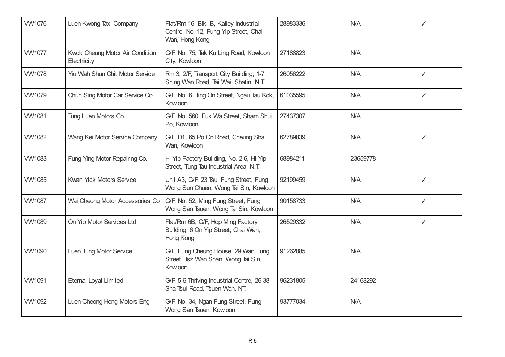| <b>VW1076</b> | Luen Kwong Taxi Company                        | Flat/Rm 16, Blk. B, Kailey Industrial<br>Centre, No. 12, Fung Yip Street, Chai<br>Wan, Hong Kong | 28983336 | N/A      | ✓            |
|---------------|------------------------------------------------|--------------------------------------------------------------------------------------------------|----------|----------|--------------|
| <b>VW1077</b> | Kwok Cheung Motor Air Condition<br>Electricity | G/F, No. 75, Tak Ku Ling Road, Kowloon<br>City, Kowloon                                          | 27188823 | N/A      |              |
| <b>VW1078</b> | <b>Yiu Wah Shun Chit Motor Service</b>         | Rm 3, 2/F, Transport City Building, 1-7<br>Shing Wan Road, Tai Wai, Shatin, N.T.                 | 26056222 | N/A      | $\checkmark$ |
| <b>VW1079</b> | Chun Sing Motor Car Service Co.                | G/F, No. 6, Ting On Street, Ngau Tau Kok,<br>Kowloon                                             | 61035595 | N/A      | $\checkmark$ |
| <b>VW1081</b> | Tung Luen Motors Co                            | G/F, No. 560, Fuk Wa Street, Sham Shui<br>Po, Kowloon                                            | 27437307 | N/A      |              |
| <b>VW1082</b> | Wang Kei Motor Service Company                 | G/F, D1, 65 Po On Road, Cheung Sha<br>Wan, Kowloon                                               | 62789839 | N/A      | $\checkmark$ |
| <b>VW1083</b> | Fung Ying Motor Repairing Co.                  | Hi Yip Factory Building, No. 2-6, Hi Yip<br>Street, Tung Tau Industrial Area, N.T.               | 68984211 | 23659778 |              |
| <b>VW1085</b> | Kwan Yick Motors Service                       | Unit A3, G/F, 23 Tsui Fung Street, Fung<br>Wong Sun Chuen, Wong Tai Sin, Kowloon                 | 92199459 | N/A      | $\checkmark$ |
| <b>VW1087</b> | Wai Cheong Motor Accessories Co                | G/F, No. 52, Ming Fung Street, Fung<br>Wong San Tsuen, Wong Tai Sin, Kowloon                     | 90158733 | N/A      | $\checkmark$ |
| <b>VW1089</b> | On Yip Motor Services Ltd                      | Flat/Rm 6B, G/F, Hop Ming Factory<br>Building, 6 On Yip Street, Chai Wan,<br>Hong Kong           | 26529332 | N/A      | $\checkmark$ |
| <b>VW1090</b> | Luen Tung Motor Service                        | G/F, Fung Cheung House, 29 Wan Fung<br>Street, Tsz Wan Shan, Wong Tai Sin,<br>Kowloon            | 91262085 | N/A      |              |
| <b>VW1091</b> | <b>Eternal Loyal Limited</b>                   | G/F, 5-6 Thriving Industrial Centre, 26-38<br>Sha Tsui Road, Tsuen Wan, NT.                      | 96231805 | 24168292 |              |
| <b>VW1092</b> | Luen Cheong Hong Motors Eng                    | G/F, No. 34, Ngan Fung Street, Fung<br>Wong San Tsuen, Kowloon                                   | 93777034 | N/A      |              |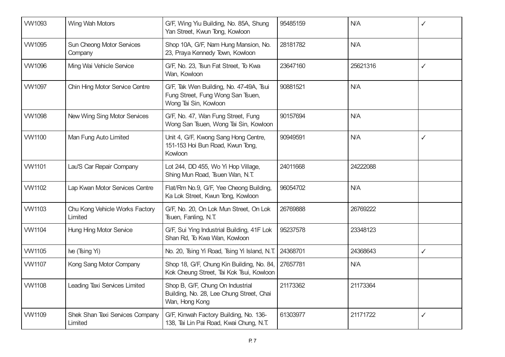| <b>VW1093</b> | Wing Wah Motors                             | G/F, Wing Yiu Building, No. 85A, Shung<br>Yan Street, Kwun Tong, Kowloon                              | 95485159 | <b>N/A</b> | ✓            |
|---------------|---------------------------------------------|-------------------------------------------------------------------------------------------------------|----------|------------|--------------|
| <b>VW1095</b> | <b>Sun Cheong Motor Services</b><br>Company | Shop 10A, G/F, Nam Hung Mansion, No.<br>23, Praya Kennedy Town, Kowloon                               | 28181782 | <b>N/A</b> |              |
| <b>VW1096</b> | Ming Wai Vehicle Service                    | G/F, No. 23, Tsun Fat Street, To Kwa<br>Wan, Kowloon                                                  | 23647160 | 25621316   | $\checkmark$ |
| <b>VW1097</b> | Chin Hing Motor Service Centre              | G/F, Tak Wen Building, No. 47-49A, Tsui<br>Fung Street, Fung Wong San Tsuen,<br>Wong Tai Sin, Kowloon | 90881521 | N/A        |              |
| <b>VW1098</b> | New Wing Sing Motor Services                | G/F, No. 47, Wan Fung Street, Fung<br>Wong San Tsuen, Wong Tai Sin, Kowloon                           | 90157694 | N/A        |              |
| <b>VW1100</b> | Man Fung Auto Limited                       | Unit 4, G/F, Kwong Sang Hong Centre,<br>151-153 Hoi Bun Road, Kwun Tong,<br>Kowloon                   | 90949591 | N/A        | $\checkmark$ |
| <b>VW1101</b> | Lau'S Car Repair Company                    | Lot 244, DD 455, Wo Yi Hop Village,<br>Shing Mun Road, Tsuen Wan, N.T.                                | 24011668 | 24222088   |              |
| <b>VW1102</b> | Lap Kwan Motor Services Centre              | Flat/Rm No.9, G/F, Yee Cheong Building,<br>Ka Lok Street, Kwun Tong, Kowloon                          | 96054702 | N/A        |              |
| <b>VW1103</b> | Chu Kong Vehicle Works Factory<br>Limited   | G/F, No. 20, On Lok Mun Street, On Lok<br>Tsuen, Fanling, N.T.                                        | 26769888 | 26769222   |              |
| <b>VW1104</b> | Hung Hing Motor Service                     | G/F, Sui Ying Industrial Building, 41F Lok<br>Shan Rd, To Kwa Wan, Kowloon                            | 95237578 | 23348123   |              |
| <b>VW1105</b> | Ive (Tsing Yi)                              | No. 20, Tsing Yi Road, Tsing Yi Island, N.T.                                                          | 24368701 | 24368643   | $\checkmark$ |
| <b>VW1107</b> | Kong Sang Motor Company                     | Shop 18, G/F, Chung Kin Building, No. 84,<br>Kok Cheung Street, Tai Kok Tsui, Kowloon                 | 27657781 | N/A        |              |
| <b>VW1108</b> | Leading Taxi Services Limited               | Shop B, G/F, Chung On Industrial<br>Building, No. 28, Lee Chung Street, Chai<br>Wan, Hong Kong        | 21173362 | 21173364   |              |
| <b>VW1109</b> | Shek Shan Taxi Services Company<br>Limited  | G/F, Kinwah Factory Building, No. 136-<br>138, Tai Lin Pai Road, Kwai Chung, N.T.                     | 61303977 | 21171722   | $\checkmark$ |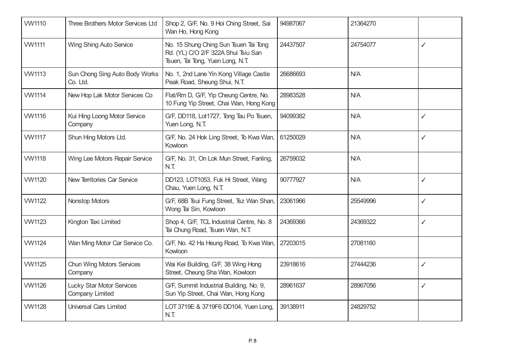| <b>VW1110</b> | Three Brothers Motor Services Ltd                          | Shop 2, G/F, No. 9 Hoi Ching Street, Sai<br>Wan Ho, Hong Kong                                                    | 94987067 | 21364270 |              |
|---------------|------------------------------------------------------------|------------------------------------------------------------------------------------------------------------------|----------|----------|--------------|
| <b>VW1111</b> | Wing Shing Auto Service                                    | No. 15 Shung Ching Sun Tsuen Tai Tong<br>Rd. (YL) C/O 2/F 322A Shui Tsiu San<br>Tsuen, Tai Tong, Yuen Long, N.T. | 24437507 | 24754077 | $\checkmark$ |
| <b>VW1113</b> | Sun Chong Sing Auto Body Works<br>Co. Ltd.                 | No. 1, 2nd Lane Yin Kong Village Castle<br>Peak Road, Sheung Shui, N.T.                                          | 26686693 | N/A      |              |
| <b>VW1114</b> | New Hop Lak Motor Services Co                              | Flat/Rm D, G/F, Yip Cheung Centre, No.<br>10 Fung Yip Street, Chai Wan, Hong Kong                                | 28983528 | N/A      |              |
| <b>VW1116</b> | Kui Hing Loong Motor Service<br>Company                    | G/F, DD118, Lot1727, Tong Tau Po Tsuen,<br>Yuen Long, N.T.                                                       | 94099382 | N/A      | ✓            |
| <b>VW1117</b> | Shun Hing Motors Ltd.                                      | G/F, No. 24 Hok Ling Street, To Kwa Wan,<br>Kowloon                                                              | 61250029 | N/A      | $\checkmark$ |
| <b>VW1118</b> | Wing Lee Motors Repair Service                             | G/F, No. 31, On Lok Mun Street, Fanling,<br>N.T.                                                                 | 26759032 | N/A      |              |
| <b>VW1120</b> | New Territories Car Service                                | DD123, LOT1053, Fuk Hi Street, Wang<br>Chau, Yuen Long, N.T.                                                     | 90777927 | N/A      | $\checkmark$ |
| <b>VW1122</b> | <b>Nonstop Motors</b>                                      | G/F, 68B Tsui Fung Street, Tsz Wan Shan,<br>Wong Tai Sin, Kowloon                                                | 23061966 | 25549996 | $\checkmark$ |
| <b>VW1123</b> | Kington Taxi Limited                                       | Shop 4, G/F, TCL Industrial Centre, No. 8<br>Tai Chung Road, Tsuen Wan, N.T.                                     | 24369366 | 24369322 | $\checkmark$ |
| <b>VW1124</b> | Wan Ming Motor Car Service Co.                             | G/F, No. 42 Ha Heung Road, To Kwa Wan,<br>Kowloon                                                                | 27203015 | 27081160 |              |
| <b>VW1125</b> | <b>Chun Wing Motors Services</b><br>Company                | Wai Kei Building, G/F, 38 Wing Hong<br>Street, Cheung Sha Wan, Kowloon                                           | 23918616 | 27444236 | $\checkmark$ |
| <b>VW1126</b> | <b>Lucky Star Motor Services</b><br><b>Company Limited</b> | G/F, Summit Industrial Building, No. 9,<br>Sun Yip Street, Chai Wan, Hong Kong                                   | 28961637 | 28967056 | $\checkmark$ |
| <b>VW1128</b> | <b>Universal Cars Limited</b>                              | LOT 3719E & 3719F6 DD104, Yuen Long,<br>N.T                                                                      | 39138911 | 24829752 |              |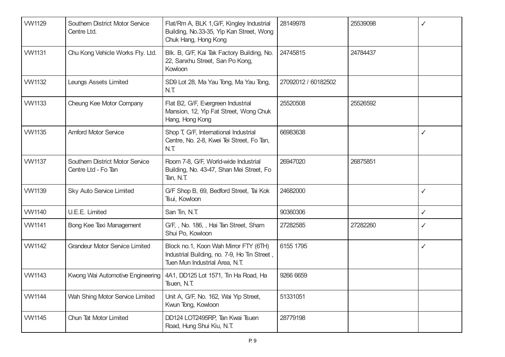| <b>VW1129</b> | <b>Southern District Motor Service</b><br>Centre Ltd.  | Flat/Rm A, BLK 1, G/F, Kingley Industrial<br>Building, No.33-35, Yip Kan Street, Wong<br>Chuk Hang, Hong Kong           | 28149978            | 25539098 | ✓            |
|---------------|--------------------------------------------------------|-------------------------------------------------------------------------------------------------------------------------|---------------------|----------|--------------|
| <b>VW1131</b> | Chu Kong Vehicle Works Fty. Ltd.                       | Blk. B, G/F, Kai Tak Factory Building, No.<br>22, Sanxhu Street, San Po Kong,<br>Kowloon                                | 24745815            | 24784437 |              |
| <b>VW1132</b> | Leungs Assets Limited                                  | SD9 Lot 28, Ma Yau Tong, Ma Yau Tong,<br>N.T.                                                                           | 27092012 / 60182502 |          |              |
| <b>VW1133</b> | Cheung Kee Motor Company                               | Flat B2, G/F, Evergreen Industrial<br>Mansion, 12, Yip Fat Street, Wong Chuk<br>Hang, Hong Kong                         | 25520508            | 25526592 |              |
| <b>VW1135</b> | <b>Amford Motor Service</b>                            | Shop T, G/F, International Industrial<br>Centre, No. 2-8, Kwei Tei Street, Fo Tan,<br>N.T.                              | 66983638            |          | ✓            |
| <b>VW1137</b> | Southern District Motor Service<br>Centre Ltd - Fo Tan | Room 7-8, G/F, World-wide Industrial<br>Building, No. 43-47, Shan Mei Street, Fo<br>Tan, N.T.                           | 26947020            | 26875851 |              |
| <b>VW1139</b> | Sky Auto Service Limited                               | G/F Shop B, 69, Bedford Street, Tai Kok<br>Tsui, Kowloon                                                                | 24682000            |          | ✓            |
| <b>VW1140</b> | U.E.E. Limited                                         | San Tin, N.T.                                                                                                           | 90360306            |          | $\checkmark$ |
| <b>VW1141</b> | Bong Kee Taxi Management                               | G/F, , No. 186, , Hai Tan Street, Sham<br>Shui Po, Kowloon                                                              | 27282585            | 27282260 | ✓            |
| <b>VW1142</b> | <b>Grandeur Motor Service Limited</b>                  | Block no.1, Koon Wah Mirror FTY (6TH)<br>Industrial Building, no. 7-9, Ho Tin Street,<br>Tuen Mun Industrial Area, N.T. | 6155 1795           |          | $\checkmark$ |
| <b>VW1143</b> | Kwong Wai Automotive Engineering                       | 4A1, DD125 Lot 1571, Tin Ha Road, Ha<br>Tsuen, N.T.                                                                     | 9266 6659           |          |              |
| <b>VW1144</b> | Wah Shing Motor Service Limited                        | Unit A, G/F, No. 162, Wai Yip Street,<br>Kwun Tong, Kowloon                                                             | 51331051            |          |              |
| <b>VW1145</b> | Chun Tat Motor Limited                                 | DD124 LOT2495RP, Tan Kwai Tsuen<br>Road, Hung Shui Kiu, N.T.                                                            | 28779198            |          |              |